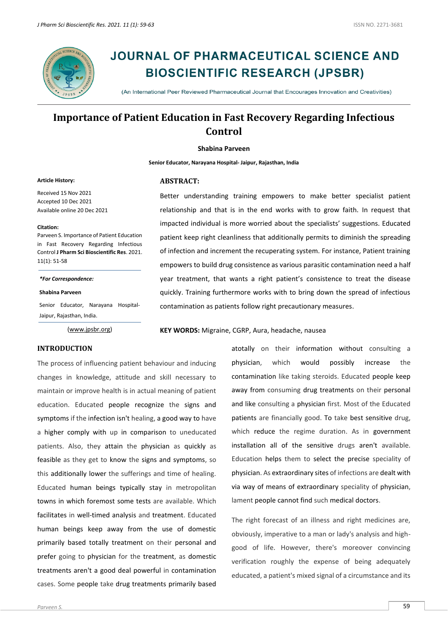

# **JOURNAL OF PHARMACEUTICAL SCIENCE AND BIOSCIENTIFIC RESEARCH (JPSBR)**

(An International Peer Reviewed Pharmaceutical Journal that Encourages Innovation and Creativities)

## **Importance of Patient Education in Fast Recovery Regarding Infectious Control**

#### **Shabina Parveen**

**Senior Educator, Narayana Hospital- Jaipur, Rajasthan, India**

#### **Article History:**

Received 15 Nov 2021 Accepted 10 Dec 2021 Available online 20 Dec 2021

#### **Citation:**

Parveen S. Importance of Patient Education in Fast Recovery Regarding Infectious Control **J Pharm Sci Bioscientific Res**. 2021. 11(1): 51-58

*\*For Correspondence:*

**Shabina Parveen**

Senior Educator, Narayana Hospital-Jaipur, Rajasthan, India.

[\(www.jpsbr.org\)](http://www.jpsbr.org/)

#### **ABSTRACT:**

Better understanding training empowers to make better specialist patient relationship and that is in the end works with to grow faith. In request that impacted individual is more worried about the specialists' suggestions. Educated patient keep right cleanliness that additionally permits to diminish the spreading of infection and increment the recuperating system. For instance, Patient training empowers to build drug consistence as various parasitic contamination need a half year treatment, that wants a right patient's consistence to treat the disease quickly. Training furthermore works with to bring down the spread of infectious contamination as patients follow right precautionary measures.

**KEY WORDS:** Migraine, CGRP, Aura, headache, nausea

#### **INTRODUCTION**

The process of influencing patient behaviour and inducing changes in knowledge, attitude and skill necessary to maintain or improve health is in actual meaning of patient education. Educated people recognize the signs and symptoms if the infection isn't healing, a good way to have a higher comply with up in comparison to uneducated patients. Also, they attain the physician as quickly as feasible as they get to know the signs and symptoms, so this additionally lower the sufferings and time of healing. Educated human beings typically stay in metropolitan towns in which foremost some tests are available. Which facilitates in well-timed analysis and treatment. Educated human beings keep away from the use of domestic primarily based totally treatment on their personal and prefer going to physician for the treatment, as domestic treatments aren't a good deal powerful in contamination cases. Some people take drug treatments primarily based

atotally on their information without consulting a physician, which would possibly increase the contamination like taking steroids. Educated people keep away from consuming drug treatments on their personal and like consulting a physician first. Most of the Educated patients are financially good. To take best sensitive drug, which reduce the regime duration. As in government installation all of the sensitive drugs aren't available. Education helps them to select the precise speciality of physician. As extraordinary sites of infections are dealt with via way of means of extraordinary speciality of physician, lament people cannot find such medical doctors.

The right forecast of an illness and right medicines are, obviously, imperative to a man or lady's analysis and highgood of life. However, there's moreover convincing verification roughly the expense of being adequately educated, a patient's mixed signal of a circumstance and its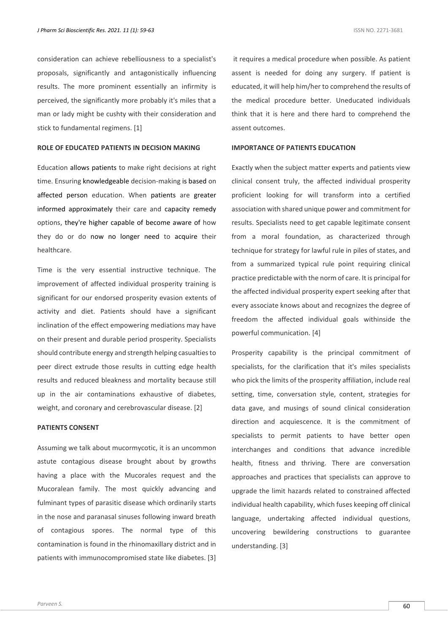consideration can achieve rebelliousness to a specialist's proposals, significantly and antagonistically influencing results. The more prominent essentially an infirmity is perceived, the significantly more probably it's miles that a man or lady might be cushty with their consideration and stick to fundamental regimens. [1]

#### **ROLE OF EDUCATED PATIENTS IN DECISION MAKING**

Education allows patients to make right decisions at right time. Ensuring knowledgeable decision-making is based on affected person education. When patients are greater informed approximately their care and capacity remedy options, they're higher capable of become aware of how they do or do now no longer need to acquire their healthcare.

Time is the very essential instructive technique. The improvement of affected individual prosperity training is significant for our endorsed prosperity evasion extents of activity and diet. Patients should have a significant inclination of the effect empowering mediations may have on their present and durable period prosperity. Specialists should contribute energy and strength helping casualties to peer direct extrude those results in cutting edge health results and reduced bleakness and mortality because still up in the air contaminations exhaustive of diabetes, weight, and coronary and cerebrovascular disease. [2]

#### **PATIENTS CONSENT**

Assuming we talk about mucormycotic, it is an uncommon astute contagious disease brought about by growths having a place with the Mucorales request and the Mucoralean family. The most quickly advancing and fulminant types of parasitic disease which ordinarily starts in the nose and paranasal sinuses following inward breath of contagious spores. The normal type of this contamination is found in the rhinomaxillary district and in patients with immunocompromised state like diabetes. [3]

it requires a medical procedure when possible. As patient assent is needed for doing any surgery. If patient is educated, it will help him/her to comprehend the results of the medical procedure better. Uneducated individuals think that it is here and there hard to comprehend the assent outcomes.

#### **IMPORTANCE OF PATIENTS EDUCATION**

Exactly when the subject matter experts and patients view clinical consent truly, the affected individual prosperity proficient looking for will transform into a certified association with shared unique power and commitment for results. Specialists need to get capable legitimate consent from a moral foundation, as characterized through technique for strategy for lawful rule in piles of states, and from a summarized typical rule point requiring clinical practice predictable with the norm of care. It is principal for the affected individual prosperity expert seeking after that every associate knows about and recognizes the degree of freedom the affected individual goals withinside the powerful communication. [4]

Prosperity capability is the principal commitment of specialists, for the clarification that it's miles specialists who pick the limits of the prosperity affiliation, include real setting, time, conversation style, content, strategies for data gave, and musings of sound clinical consideration direction and acquiescence. It is the commitment of specialists to permit patients to have better open interchanges and conditions that advance incredible health, fitness and thriving. There are conversation approaches and practices that specialists can approve to upgrade the limit hazards related to constrained affected individual health capability, which fuses keeping off clinical language, undertaking affected individual questions, uncovering bewildering constructions to guarantee understanding. [3]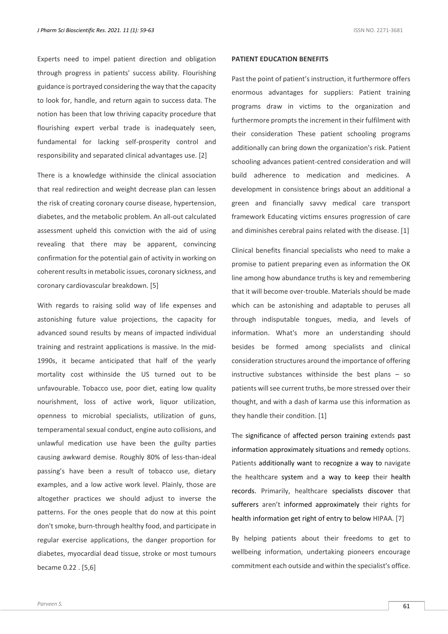Experts need to impel patient direction and obligation through progress in patients' success ability. Flourishing guidance is portrayed considering the way that the capacity to look for, handle, and return again to success data. The notion has been that low thriving capacity procedure that flourishing expert verbal trade is inadequately seen, fundamental for lacking self-prosperity control and responsibility and separated clinical advantages use. [2]

There is a knowledge withinside the clinical association that real redirection and weight decrease plan can lessen the risk of creating coronary course disease, hypertension, diabetes, and the metabolic problem. An all-out calculated assessment upheld this conviction with the aid of using revealing that there may be apparent, convincing confirmation for the potential gain of activity in working on coherent results in metabolic issues, coronary sickness, and coronary cardiovascular breakdown. [5]

With regards to raising solid way of life expenses and astonishing future value projections, the capacity for advanced sound results by means of impacted individual training and restraint applications is massive. In the mid-1990s, it became anticipated that half of the yearly mortality cost withinside the US turned out to be unfavourable. Tobacco use, poor diet, eating low quality nourishment, loss of active work, liquor utilization, openness to microbial specialists, utilization of guns, temperamental sexual conduct, engine auto collisions, and unlawful medication use have been the guilty parties causing awkward demise. Roughly 80% of less-than-ideal passing's have been a result of tobacco use, dietary examples, and a low active work level. Plainly, those are altogether practices we should adjust to inverse the patterns. For the ones people that do now at this point don't smoke, burn-through healthy food, and participate in regular exercise applications, the danger proportion for diabetes, myocardial dead tissue, stroke or most tumours became 0.22 . [5,6]

#### **PATIENT EDUCATION BENEFITS**

Past the point of patient's instruction, it furthermore offers enormous advantages for suppliers: Patient training programs draw in victims to the organization and furthermore prompts the increment in their fulfilment with their consideration These patient schooling programs additionally can bring down the organization's risk. Patient schooling advances patient-centred consideration and will build adherence to medication and medicines. A development in consistence brings about an additional a green and financially savvy medical care transport framework Educating victims ensures progression of care and diminishes cerebral pains related with the disease. [1]

Clinical benefits financial specialists who need to make a promise to patient preparing even as information the OK line among how abundance truths is key and remembering that it will become over-trouble. Materials should be made which can be astonishing and adaptable to peruses all through indisputable tongues, media, and levels of information. What's more an understanding should besides be formed among specialists and clinical consideration structures around the importance of offering instructive substances withinside the best plans – so patients will see current truths, be more stressed over their thought, and with a dash of karma use this information as they handle their condition. [1]

The significance of affected person training extends past information approximately situations and remedy options. Patients additionally want to recognize a way to navigate the healthcare system and a way to keep their health records. Primarily, healthcare specialists discover that sufferers aren't informed approximately their rights for health information get right of entry to below HIPAA. [7]

By helping patients about their freedoms to get to wellbeing information, undertaking pioneers encourage commitment each outside and within the specialist's office.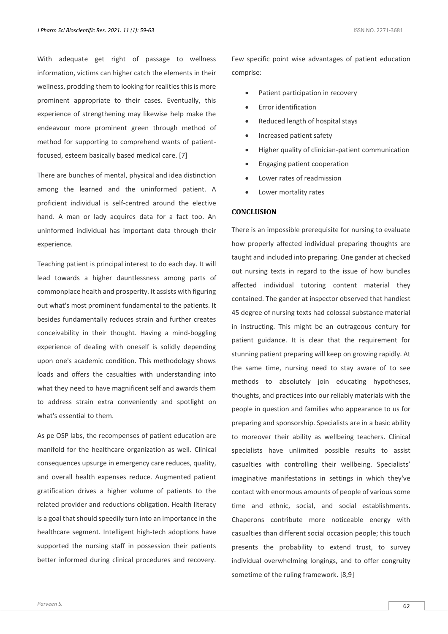With adequate get right of passage to wellness information, victims can higher catch the elements in their wellness, prodding them to looking for realities this is more prominent appropriate to their cases. Eventually, this experience of strengthening may likewise help make the endeavour more prominent green through method of method for supporting to comprehend wants of patientfocused, esteem basically based medical care. [7]

There are bunches of mental, physical and idea distinction among the learned and the uninformed patient. A proficient individual is self-centred around the elective hand. A man or lady acquires data for a fact too. An uninformed individual has important data through their experience.

Teaching patient is principal interest to do each day. It will lead towards a higher dauntlessness among parts of commonplace health and prosperity. It assists with figuring out what's most prominent fundamental to the patients. It besides fundamentally reduces strain and further creates conceivability in their thought. Having a mind-boggling experience of dealing with oneself is solidly depending upon one's academic condition. This methodology shows loads and offers the casualties with understanding into what they need to have magnificent self and awards them to address strain extra conveniently and spotlight on what's essential to them.

As pe OSP labs, the recompenses of patient education are manifold for the healthcare organization as well. Clinical consequences upsurge in emergency care reduces, quality, and overall health expenses reduce. Augmented patient gratification drives a higher volume of patients to the related provider and reductions obligation. Health literacy is a goal that should speedily turn into an importance in the healthcare segment. Intelligent high-tech adoptions have supported the nursing staff in possession their patients better informed during clinical procedures and recovery.

Few specific point wise advantages of patient education comprise:

- Patient participation in recovery
- Error identification
- Reduced length of hospital stays
- Increased patient safety
- Higher quality of clinician-patient communication
- Engaging patient cooperation
- Lower rates of readmission
- Lower mortality rates

### **CONCLUSION**

There is an impossible prerequisite for nursing to evaluate how properly affected individual preparing thoughts are taught and included into preparing. One gander at checked out nursing texts in regard to the issue of how bundles affected individual tutoring content material they contained. The gander at inspector observed that handiest 45 degree of nursing texts had colossal substance material in instructing. This might be an outrageous century for patient guidance. It is clear that the requirement for stunning patient preparing will keep on growing rapidly. At the same time, nursing need to stay aware of to see methods to absolutely join educating hypotheses, thoughts, and practices into our reliably materials with the people in question and families who appearance to us for preparing and sponsorship. Specialists are in a basic ability to moreover their ability as wellbeing teachers. Clinical specialists have unlimited possible results to assist casualties with controlling their wellbeing. Specialists' imaginative manifestations in settings in which they've contact with enormous amounts of people of various some time and ethnic, social, and social establishments. Chaperons contribute more noticeable energy with casualties than different social occasion people; this touch presents the probability to extend trust, to survey individual overwhelming longings, and to offer congruity sometime of the ruling framework. [8,9]